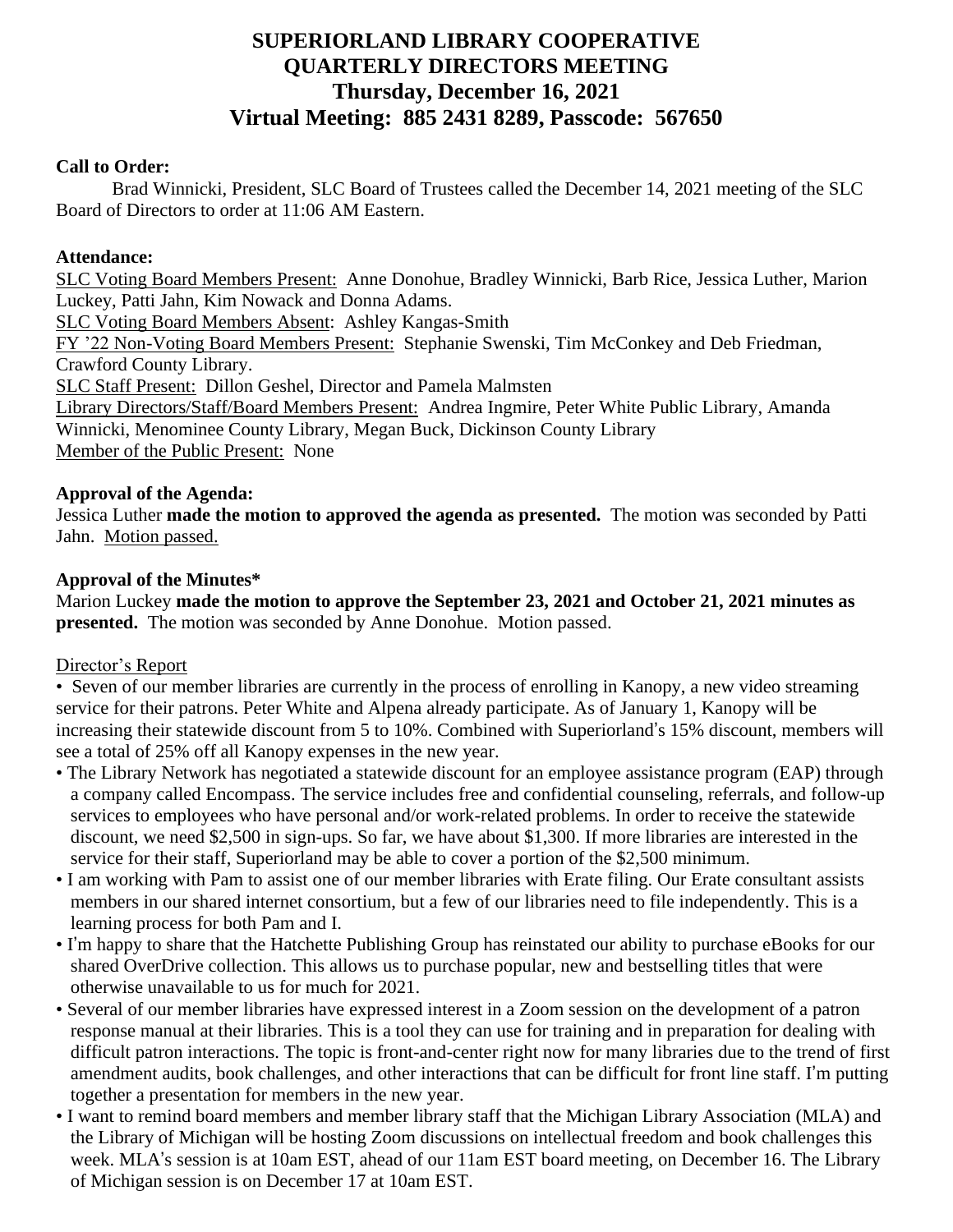# **SUPERIORLAND LIBRARY COOPERATIVE QUARTERLY DIRECTORS MEETING Thursday, December 16, 2021 Virtual Meeting: 885 2431 8289, Passcode: 567650**

## **Call to Order:**

Brad Winnicki, President, SLC Board of Trustees called the December 14, 2021 meeting of the SLC Board of Directors to order at 11:06 AM Eastern.

## **Attendance:**

SLC Voting Board Members Present: Anne Donohue, Bradley Winnicki, Barb Rice, Jessica Luther, Marion Luckey, Patti Jahn, Kim Nowack and Donna Adams. SLC Voting Board Members Absent: Ashley Kangas-Smith FY '22 Non-Voting Board Members Present: Stephanie Swenski, Tim McConkey and Deb Friedman, Crawford County Library. SLC Staff Present: Dillon Geshel, Director and Pamela Malmsten Library Directors/Staff/Board Members Present: Andrea Ingmire, Peter White Public Library, Amanda Winnicki, Menominee County Library, Megan Buck, Dickinson County Library Member of the Public Present: None

### **Approval of the Agenda:**

Jessica Luther **made the motion to approved the agenda as presented.** The motion was seconded by Patti Jahn. Motion passed.

### **Approval of the Minutes\***

Marion Luckey **made the motion to approve the September 23, 2021 and October 21, 2021 minutes as presented.** The motion was seconded by Anne Donohue. Motion passed.

## Director's Report

• Seven of our member libraries are currently in the process of enrolling in Kanopy, a new video streaming service for their patrons. Peter White and Alpena already participate. As of January 1, Kanopy will be increasing their statewide discount from 5 to 10%. Combined with Superiorland's 15% discount, members will see a total of 25% off all Kanopy expenses in the new year.

- The Library Network has negotiated a statewide discount for an employee assistance program (EAP) through a company called Encompass. The service includes free and confidential counseling, referrals, and follow-up services to employees who have personal and/or work-related problems. In order to receive the statewide discount, we need \$2,500 in sign-ups. So far, we have about \$1,300. If more libraries are interested in the service for their staff, Superiorland may be able to cover a portion of the \$2,500 minimum.
- I am working with Pam to assist one of our member libraries with Erate filing. Our Erate consultant assists members in our shared internet consortium, but a few of our libraries need to file independently. This is a learning process for both Pam and I.
- I'm happy to share that the Hatchette Publishing Group has reinstated our ability to purchase eBooks for our shared OverDrive collection. This allows us to purchase popular, new and bestselling titles that were otherwise unavailable to us for much for 2021.
- Several of our member libraries have expressed interest in a Zoom session on the development of a patron response manual at their libraries. This is a tool they can use for training and in preparation for dealing with difficult patron interactions. The topic is front-and-center right now for many libraries due to the trend of first amendment audits, book challenges, and other interactions that can be difficult for front line staff. I'm putting together a presentation for members in the new year.
- I want to remind board members and member library staff that the Michigan Library Association (MLA) and the Library of Michigan will be hosting Zoom discussions on intellectual freedom and book challenges this week. MLA's session is at 10am EST, ahead of our 11am EST board meeting, on December 16. The Library of Michigan session is on December 17 at 10am EST.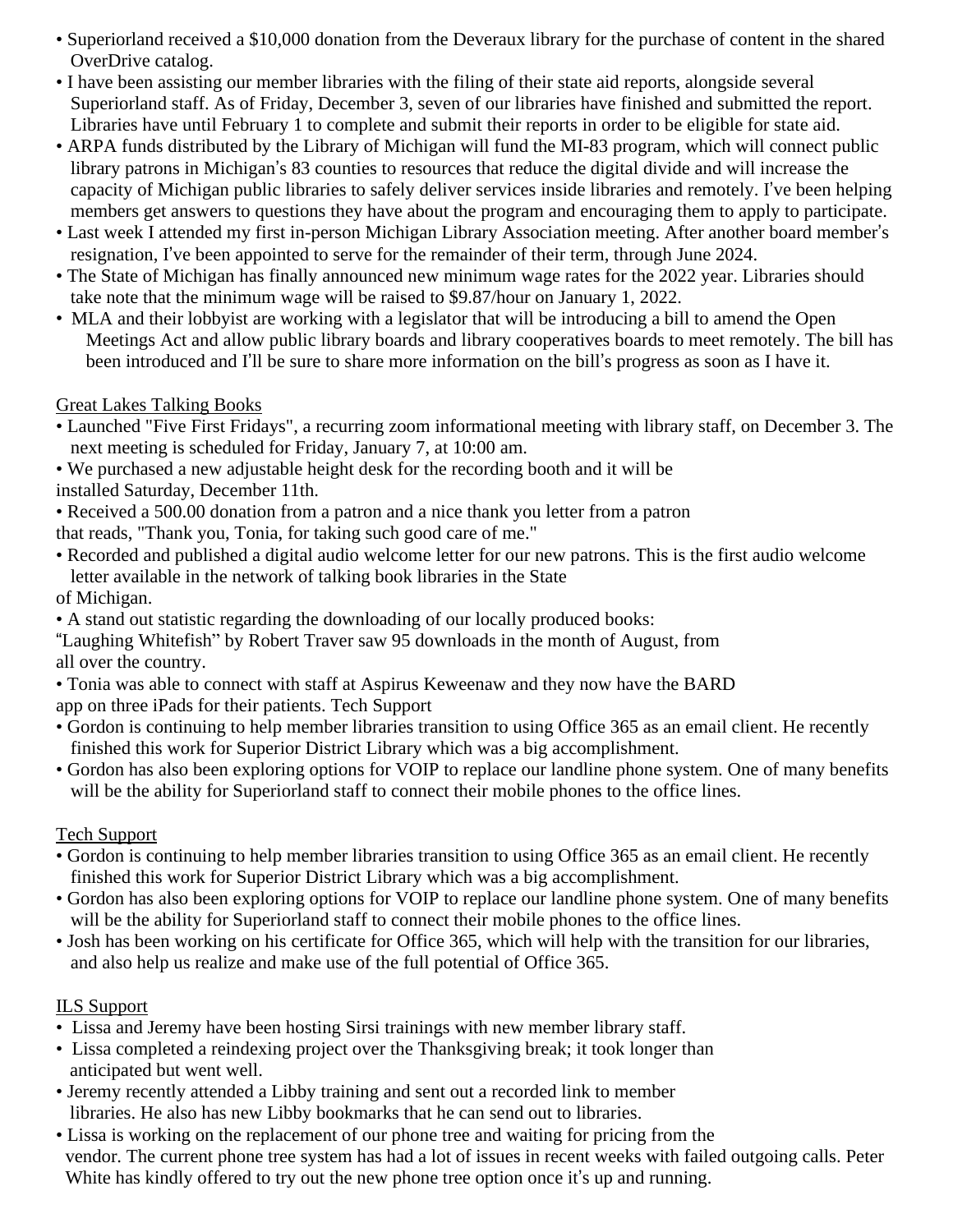- Superiorland received a \$10,000 donation from the Deveraux library for the purchase of content in the shared OverDrive catalog.
- I have been assisting our member libraries with the filing of their state aid reports, alongside several Superiorland staff. As of Friday, December 3, seven of our libraries have finished and submitted the report. Libraries have until February 1 to complete and submit their reports in order to be eligible for state aid.
- ARPA funds distributed by the Library of Michigan will fund the MI-83 program, which will connect public library patrons in Michigan's 83 counties to resources that reduce the digital divide and will increase the capacity of Michigan public libraries to safely deliver services inside libraries and remotely. I've been helping members get answers to questions they have about the program and encouraging them to apply to participate.
- Last week I attended my first in-person Michigan Library Association meeting. After another board member's resignation, I've been appointed to serve for the remainder of their term, through June 2024.
- The State of Michigan has finally announced new minimum wage rates for the 2022 year. Libraries should take note that the minimum wage will be raised to \$9.87/hour on January 1, 2022.
- MLA and their lobbyist are working with a legislator that will be introducing a bill to amend the Open Meetings Act and allow public library boards and library cooperatives boards to meet remotely. The bill has been introduced and I'll be sure to share more information on the bill's progress as soon as I have it.

# Great Lakes Talking Books

- Launched "Five First Fridays", a recurring zoom informational meeting with library staff, on December 3. The next meeting is scheduled for Friday, January 7, at 10:00 am.
- We purchased a new adjustable height desk for the recording booth and it will be
- installed Saturday, December 11th.
- Received a 500.00 donation from a patron and a nice thank you letter from a patron
- that reads, "Thank you, Tonia, for taking such good care of me."
- Recorded and published a digital audio welcome letter for our new patrons. This is the first audio welcome letter available in the network of talking book libraries in the State
- of Michigan.
- A stand out statistic regarding the downloading of our locally produced books:
- "Laughing Whitefish" by Robert Traver saw 95 downloads in the month of August, from all over the country.
- Tonia was able to connect with staff at Aspirus Keweenaw and they now have the BARD app on three iPads for their patients. Tech Support
- Gordon is continuing to help member libraries transition to using Office 365 as an email client. He recently finished this work for Superior District Library which was a big accomplishment.
- Gordon has also been exploring options for VOIP to replace our landline phone system. One of many benefits will be the ability for Superiorland staff to connect their mobile phones to the office lines.

# Tech Support

- Gordon is continuing to help member libraries transition to using Office 365 as an email client. He recently finished this work for Superior District Library which was a big accomplishment.
- Gordon has also been exploring options for VOIP to replace our landline phone system. One of many benefits will be the ability for Superiorland staff to connect their mobile phones to the office lines.
- Josh has been working on his certificate for Office 365, which will help with the transition for our libraries, and also help us realize and make use of the full potential of Office 365.

# ILS Support

- Lissa and Jeremy have been hosting Sirsi trainings with new member library staff.
- Lissa completed a reindexing project over the Thanksgiving break; it took longer than anticipated but went well.
- Jeremy recently attended a Libby training and sent out a recorded link to member libraries. He also has new Libby bookmarks that he can send out to libraries.
- Lissa is working on the replacement of our phone tree and waiting for pricing from the vendor. The current phone tree system has had a lot of issues in recent weeks with failed outgoing calls. Peter White has kindly offered to try out the new phone tree option once it's up and running.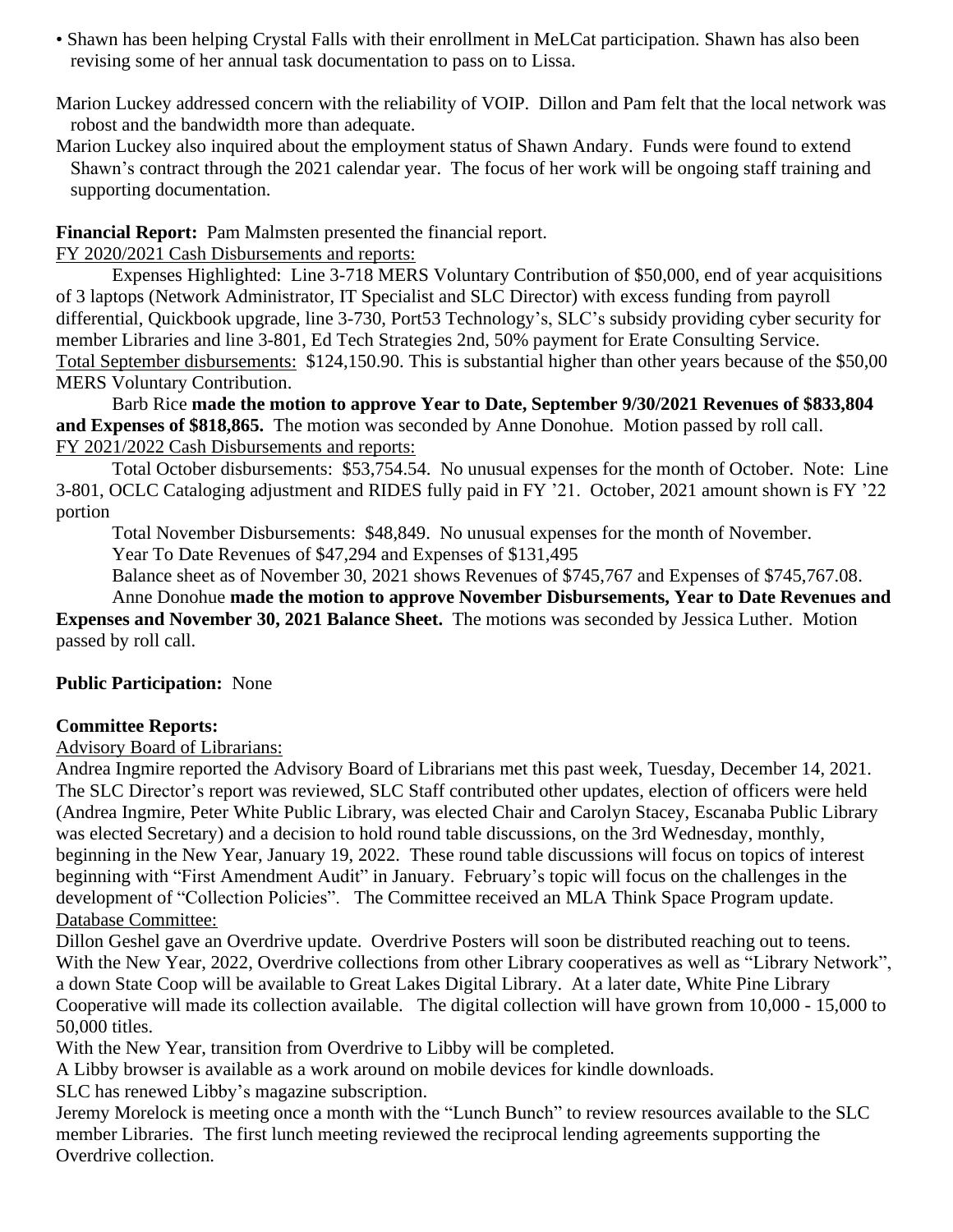- Shawn has been helping Crystal Falls with their enrollment in MeLCat participation. Shawn has also been revising some of her annual task documentation to pass on to Lissa.
- Marion Luckey addressed concern with the reliability of VOIP. Dillon and Pam felt that the local network was robost and the bandwidth more than adequate.
- Marion Luckey also inquired about the employment status of Shawn Andary. Funds were found to extend Shawn's contract through the 2021 calendar year. The focus of her work will be ongoing staff training and supporting documentation.

**Financial Report:** Pam Malmsten presented the financial report.

FY 2020/2021 Cash Disbursements and reports:

Expenses Highlighted: Line 3-718 MERS Voluntary Contribution of \$50,000, end of year acquisitions of 3 laptops (Network Administrator, IT Specialist and SLC Director) with excess funding from payroll differential, Quickbook upgrade, line 3-730, Port53 Technology's, SLC's subsidy providing cyber security for member Libraries and line 3-801, Ed Tech Strategies 2nd, 50% payment for Erate Consulting Service. Total September disbursements: \$124,150.90. This is substantial higher than other years because of the \$50,00 MERS Voluntary Contribution.

Barb Rice **made the motion to approve Year to Date, September 9/30/2021 Revenues of \$833,804 and Expenses of \$818,865.** The motion was seconded by Anne Donohue. Motion passed by roll call. FY 2021/2022 Cash Disbursements and reports:

Total October disbursements: \$53,754.54. No unusual expenses for the month of October. Note: Line 3-801, OCLC Cataloging adjustment and RIDES fully paid in FY '21. October, 2021 amount shown is FY '22 portion

Total November Disbursements: \$48,849. No unusual expenses for the month of November. Year To Date Revenues of \$47,294 and Expenses of \$131,495

Balance sheet as of November 30, 2021 shows Revenues of \$745,767 and Expenses of \$745,767.08.

Anne Donohue **made the motion to approve November Disbursements, Year to Date Revenues and Expenses and November 30, 2021 Balance Sheet.** The motions was seconded by Jessica Luther. Motion passed by roll call.

# **Public Participation:** None

# **Committee Reports:**

Advisory Board of Librarians:

Andrea Ingmire reported the Advisory Board of Librarians met this past week, Tuesday, December 14, 2021. The SLC Director's report was reviewed, SLC Staff contributed other updates, election of officers were held (Andrea Ingmire, Peter White Public Library, was elected Chair and Carolyn Stacey, Escanaba Public Library was elected Secretary) and a decision to hold round table discussions, on the 3rd Wednesday, monthly, beginning in the New Year, January 19, 2022. These round table discussions will focus on topics of interest beginning with "First Amendment Audit" in January. February's topic will focus on the challenges in the development of "Collection Policies". The Committee received an MLA Think Space Program update. Database Committee:

Dillon Geshel gave an Overdrive update. Overdrive Posters will soon be distributed reaching out to teens. With the New Year, 2022, Overdrive collections from other Library cooperatives as well as "Library Network", a down State Coop will be available to Great Lakes Digital Library. At a later date, White Pine Library Cooperative will made its collection available. The digital collection will have grown from 10,000 - 15,000 to 50,000 titles.

With the New Year, transition from Overdrive to Libby will be completed.

A Libby browser is available as a work around on mobile devices for kindle downloads.

SLC has renewed Libby's magazine subscription.

Jeremy Morelock is meeting once a month with the "Lunch Bunch" to review resources available to the SLC member Libraries. The first lunch meeting reviewed the reciprocal lending agreements supporting the Overdrive collection.